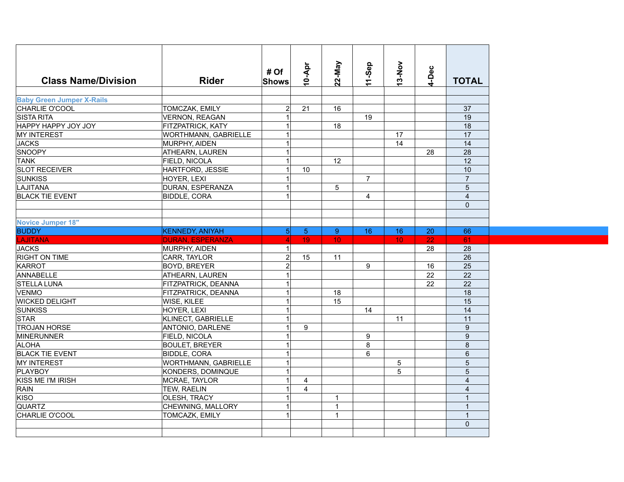| <b>Class Name/Division</b>                                                                                                                                                                                                                                                           | <b>Rider</b>                | #Of<br><b>Shows</b> | 10-Apr         | 22-May          | 11-Sep         | 13-Nov          | 4-Dec | <b>TOTAL</b>     |
|--------------------------------------------------------------------------------------------------------------------------------------------------------------------------------------------------------------------------------------------------------------------------------------|-----------------------------|---------------------|----------------|-----------------|----------------|-----------------|-------|------------------|
| <b>Baby Green Jumper X-Rails</b>                                                                                                                                                                                                                                                     |                             |                     |                |                 |                |                 |       |                  |
| CHARLIE O'COOL                                                                                                                                                                                                                                                                       | <b>TOMCZAK, EMILY</b>       | $\overline{2}$      | 21             | 16              |                |                 |       | 37               |
| <b>SISTA RITA</b>                                                                                                                                                                                                                                                                    | VERNON, REAGAN              | $\mathbf{1}$        |                |                 | 19             |                 |       | 19               |
| HAPPY HAPPY JOY JOY                                                                                                                                                                                                                                                                  | <b>FITZPATRICK, KATY</b>    | $\mathbf{1}$        |                | 18              |                |                 |       | 18               |
| <b>MY INTEREST</b>                                                                                                                                                                                                                                                                   | <b>WORTHMANN, GABRIELLE</b> | $\mathbf{1}$        |                |                 |                | 17              |       | 17               |
| <b>JACKS</b>                                                                                                                                                                                                                                                                         | MURPHY, AIDEN               | $\mathbf{1}$        |                |                 |                | 14              |       | 14               |
| <b>SNOOPY</b>                                                                                                                                                                                                                                                                        | ATHEARN, LAUREN             | $\mathbf{1}$        |                |                 |                |                 | 28    | 28               |
| <b>TANK</b>                                                                                                                                                                                                                                                                          | FIELD, NICOLA               | $\mathbf{1}$        |                | 12              |                |                 |       | 12               |
| <b>SLOT RECEIVER</b>                                                                                                                                                                                                                                                                 | HARTFORD, JESSIE            | $\mathbf{1}$        | 10             |                 |                |                 |       | 10               |
| <b>SUNKISS</b>                                                                                                                                                                                                                                                                       | HOYER, LEXI                 | $\mathbf{1}$        |                |                 | $\overline{7}$ |                 |       | $\overline{7}$   |
| LAJITANA                                                                                                                                                                                                                                                                             | DURAN, ESPERANZA            | $\mathbf{1}$        |                | 5               |                |                 |       | 5                |
| <b>BLACK TIE EVENT</b>                                                                                                                                                                                                                                                               | <b>BIDDLE, CORA</b>         | $\mathbf{1}$        |                |                 | $\overline{4}$ |                 |       | $\overline{4}$   |
|                                                                                                                                                                                                                                                                                      |                             |                     |                |                 |                |                 |       | $\Omega$         |
|                                                                                                                                                                                                                                                                                      |                             |                     |                |                 |                |                 |       |                  |
| Novice Jumper 18"                                                                                                                                                                                                                                                                    |                             |                     |                |                 |                |                 |       |                  |
| <b>BUDDY</b>                                                                                                                                                                                                                                                                         | <b>KENNEDY, ANIYAH</b>      | 5 <sup>1</sup>      | 5 <sup>1</sup> | $9^{\circ}$     | 16             | 16              | 20    | 66               |
| <b>LAJITANA</b>                                                                                                                                                                                                                                                                      | <b>DURAN, ESPERANZA</b>     | $\vert$             | 19             | 10 <sub>1</sub> |                | 10 <sup>°</sup> | 22    | 61               |
| <b>JACKS</b>                                                                                                                                                                                                                                                                         | MURPHY, AIDEN               | $\vert$ 1           |                |                 |                |                 | 28    | 28               |
| <b>RIGHT ON TIME</b>                                                                                                                                                                                                                                                                 | CARR, TAYLOR                | $\overline{a}$      | 15             | 11              |                |                 |       | 26               |
|                                                                                                                                                                                                                                                                                      |                             |                     |                |                 |                |                 |       |                  |
|                                                                                                                                                                                                                                                                                      |                             |                     |                |                 |                |                 |       |                  |
| KARROT                                                                                                                                                                                                                                                                               | <b>BOYD, BREYER</b>         | $\overline{2}$      |                |                 | 9              |                 | 16    | 25               |
| <b>ANNABELLE</b>                                                                                                                                                                                                                                                                     | <b>ATHEARN, LAUREN</b>      | $\mathbf{1}$        |                |                 |                |                 | 22    | 22               |
|                                                                                                                                                                                                                                                                                      | <b>FITZPATRICK, DEANNA</b>  | $\mathbf{1}$        |                |                 |                |                 | 22    | 22               |
|                                                                                                                                                                                                                                                                                      | <b>FITZPATRICK, DEANNA</b>  | $\mathbf{1}$        |                | 18              |                |                 |       | 18               |
|                                                                                                                                                                                                                                                                                      | WISE, KILEE                 | $\mathbf{1}$        |                | 15              |                |                 |       | 15               |
|                                                                                                                                                                                                                                                                                      | HOYER, LEXI                 | $\mathbf{1}$        |                |                 | 14             |                 |       | 14               |
|                                                                                                                                                                                                                                                                                      | KLINECT, GABRIELLE          | $\vert$             |                |                 |                | 11              |       | 11               |
|                                                                                                                                                                                                                                                                                      | ANTONIO, DARLENE            | $\mathbf{1}$        | 9              |                 |                |                 |       | 9                |
|                                                                                                                                                                                                                                                                                      | <b>FIELD, NICOLA</b>        | $\mathbf{1}$        |                |                 | 9              |                 |       | $\boldsymbol{9}$ |
|                                                                                                                                                                                                                                                                                      | <b>BOULET, BREYER</b>       | $\mathbf{1}$        |                |                 | 8              |                 |       | 8                |
|                                                                                                                                                                                                                                                                                      | <b>BIDDLE, CORA</b>         | $\mathbf{1}$        |                |                 | 6              |                 |       | 6                |
|                                                                                                                                                                                                                                                                                      | WORTHMANN, GABRIELLE        | $\mathbf{1}$        |                |                 |                | 5               |       | 5                |
|                                                                                                                                                                                                                                                                                      | KONDERS, DOMINQUE           | $\vert$             |                |                 |                | 5               |       | 5                |
|                                                                                                                                                                                                                                                                                      | MCRAE, TAYLOR               | $\mathbf{1}$        | 4              |                 |                |                 |       | $\overline{4}$   |
|                                                                                                                                                                                                                                                                                      | <b>TEW, RAELIN</b>          | $\mathbf{1}$        | $\overline{4}$ |                 |                |                 |       | $\overline{4}$   |
|                                                                                                                                                                                                                                                                                      | <b>OLESH, TRACY</b>         | $\mathbf{1}$        |                | $\mathbf{1}$    |                |                 |       | $\mathbf{1}$     |
|                                                                                                                                                                                                                                                                                      | CHEWNING, MALLORY           | $\vert$             |                | $\overline{1}$  |                |                 |       | $\mathbf{1}$     |
| <b>STELLA LUNA</b><br><b>VENMO</b><br><b>WICKED DELIGHT</b><br><b>SUNKISS</b><br><b>STAR</b><br><b>TROJAN HORSE</b><br>MINERUNNER<br><b>ALOHA</b><br><b>BLACK TIE EVENT</b><br>MY INTEREST<br>PLAYBOY<br>KISS ME I'M IRISH<br>RAIN<br>KISO<br><b>QUARTZ</b><br><b>CHARLIE O'COOL</b> | TOMCAZK, EMILY              | $\mathbf{1}$        |                | $\mathbf{1}$    |                |                 |       | 1                |
|                                                                                                                                                                                                                                                                                      |                             |                     |                |                 |                |                 |       | $\mathbf{0}$     |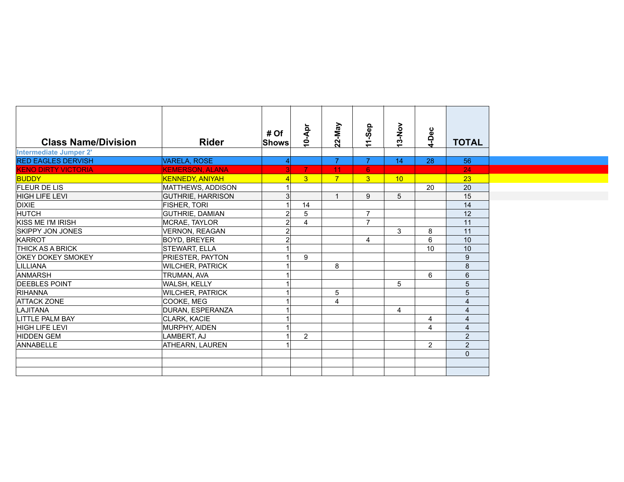|                         | # Of                                                                                                                                                                                                       | -Apr           |                                   |                |                                                 |                    | <b>TOTAL</b>      |
|-------------------------|------------------------------------------------------------------------------------------------------------------------------------------------------------------------------------------------------------|----------------|-----------------------------------|----------------|-------------------------------------------------|--------------------|-------------------|
|                         |                                                                                                                                                                                                            |                |                                   |                |                                                 |                    |                   |
|                         |                                                                                                                                                                                                            |                | $\overline{7}$                    |                |                                                 |                    | 56                |
|                         |                                                                                                                                                                                                            |                |                                   |                |                                                 |                    | 24                |
|                         |                                                                                                                                                                                                            |                | 7 <sup>1</sup>                    |                |                                                 |                    | 23                |
|                         |                                                                                                                                                                                                            |                |                                   |                |                                                 |                    | 20                |
|                         |                                                                                                                                                                                                            |                | 1                                 | 9              | 5                                               |                    | 15                |
|                         |                                                                                                                                                                                                            |                |                                   |                |                                                 |                    | 14                |
|                         |                                                                                                                                                                                                            | 5              |                                   | $\overline{7}$ |                                                 |                    | 12                |
|                         |                                                                                                                                                                                                            | $\overline{4}$ |                                   | $\overline{7}$ |                                                 |                    | 11                |
| <b>VERNON, REAGAN</b>   |                                                                                                                                                                                                            |                |                                   |                | 3                                               | 8                  | 11                |
| <b>BOYD, BREYER</b>     |                                                                                                                                                                                                            |                |                                   | $\overline{4}$ |                                                 | 6                  | 10                |
| <b>STEWART, ELLA</b>    |                                                                                                                                                                                                            |                |                                   |                |                                                 | 10                 | 10                |
| <b>PRIESTER, PAYTON</b> |                                                                                                                                                                                                            | 9              |                                   |                |                                                 |                    | 9                 |
| <b>WILCHER, PATRICK</b> |                                                                                                                                                                                                            |                | 8                                 |                |                                                 |                    | 8                 |
| TRUMAN, AVA             |                                                                                                                                                                                                            |                |                                   |                |                                                 | 6                  | 6                 |
| <b>WALSH, KELLY</b>     |                                                                                                                                                                                                            |                |                                   |                | 5                                               |                    | 5                 |
| <b>WILCHER, PATRICK</b> |                                                                                                                                                                                                            |                | 5                                 |                |                                                 |                    | 5                 |
| COOKE, MEG              |                                                                                                                                                                                                            |                | 4                                 |                |                                                 |                    | $\overline{4}$    |
| DURAN, ESPERANZA        |                                                                                                                                                                                                            |                |                                   |                | 4                                               |                    | $\overline{4}$    |
| <b>CLARK, KACIE</b>     |                                                                                                                                                                                                            |                |                                   |                |                                                 | 4                  | $\overline{4}$    |
| MURPHY, AIDEN           |                                                                                                                                                                                                            |                |                                   |                |                                                 | 4                  | $\overline{4}$    |
| LAMBERT, AJ             |                                                                                                                                                                                                            | 2              |                                   |                |                                                 |                    | $\overline{2}$    |
| ATHEARN, LAUREN         |                                                                                                                                                                                                            |                |                                   |                |                                                 | $\overline{2}$     | 2                 |
|                         |                                                                                                                                                                                                            |                |                                   |                |                                                 |                    | $\mathbf 0$       |
|                         |                                                                                                                                                                                                            |                |                                   |                |                                                 |                    |                   |
|                         |                                                                                                                                                                                                            |                |                                   |                |                                                 |                    |                   |
|                         | <b>Rider</b><br><b>VARELA, ROSE</b><br><b>KEMERSON, ALANA</b><br><b>KENNEDY, ANIYAH</b><br>MATTHEWS, ADDISON<br><b>GUTHRIE, HARRISON</b><br><b>FISHER, TORI</b><br><b>GUTHRIE, DAMIAN</b><br>MCRAE, TAYLOR | <b>Shows</b>   | $\dot{P}$<br>3 <sup>5</sup><br>14 | 22-May<br>11   | 11-Sep<br>$\overline{7}$<br>6<br>3 <sup>1</sup> | 13-Nov<br>14<br>10 | 4-Dec<br>28<br>20 |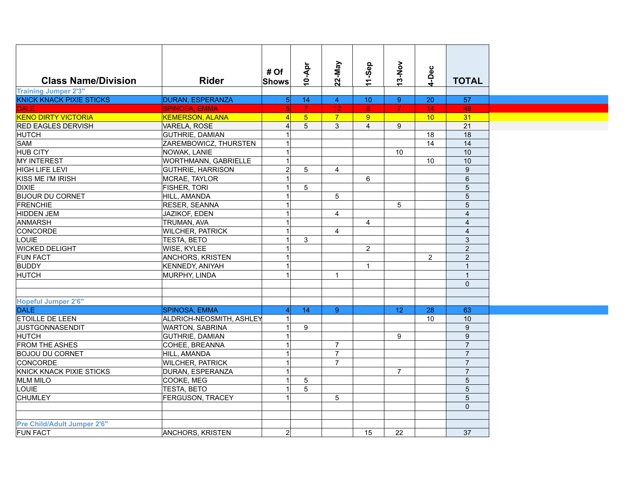| <b>Class Name/Division</b>      | <b>Rider</b>                    | # Of<br><b>Shows</b> | 10-Apr           | 22-May          | 11-Sep         | $3-Nov$         | 4-Dec          | <b>TOTAL</b>     |
|---------------------------------|---------------------------------|----------------------|------------------|-----------------|----------------|-----------------|----------------|------------------|
| <b>Training Jumper 2'3"</b>     |                                 |                      |                  |                 |                |                 |                |                  |
| <b>KNICK KNACK PIXIE STICKS</b> | <b>DURAN, ESPERANZA</b>         | 5 <sup>1</sup>       | 14               | $\overline{4}$  | 10             | 9 <sup>°</sup>  | 20             | 57               |
| DALE:                           | <b>SPINOSA, EMMA</b>            | $\vert 5 \vert$      | 7 <sup>2</sup>   | 12 <sub>1</sub> | 8              | $\blacklozenge$ | 14             | 48               |
| <b>KENO DIRTY VICTORIA</b>      | <b>KEMERSON, ALANA</b>          | 4 <sup>1</sup>       | 5 <sup>5</sup>   | 7 <sup>7</sup>  | 9              |                 | 10             | 31               |
| <b>RED EAGLES DERVISH</b>       | VARELA, ROSE                    | $\overline{4}$       | 5                | $\mathbf{3}$    | $\overline{4}$ | 9               |                | 21               |
| <b>HUTCH</b>                    | <b>GUTHRIE, DAMIAN</b>          | $\mathbf{1}$         |                  |                 |                |                 | 18             | 18               |
| SAM                             | ZAREMBOWICZ, THURSTEN           | $\mathbf{1}$         |                  |                 |                |                 | 14             | 14               |
| HUB CITY                        | NOWAK, LANIE                    | $\mathbf{1}$         |                  |                 |                | 10              |                | 10               |
| MY INTEREST                     | <b>WORTHMANN, GABRIELLE</b>     | 1                    |                  |                 |                |                 | 10             | 10               |
| HIGH LIFE LEVI                  | <b>GUTHRIE, HARRISON</b>        | $\overline{2}$       | 5                | $\overline{4}$  |                |                 |                | $\boldsymbol{9}$ |
| KISS ME I'M IRISH               | MCRAE, TAYLOR                   | $\mathbf{1}$         |                  |                 | 6              |                 |                | 6                |
| <b>DIXIE</b>                    | <b>FISHER, TORI</b>             | $\mathbf{1}$         | 5                |                 |                |                 |                | $5\phantom{.0}$  |
| <b>BIJOUR DU CORNET</b>         | HILL, AMANDA                    | $\mathbf{1}$         |                  | 5               |                |                 |                | $5\phantom{.0}$  |
| <b>FRENCHIE</b>                 | RESER, SEANNA                   | $\mathbf{1}$         |                  |                 |                | 5               |                | $5\phantom{.0}$  |
| HIDDEN JEM                      | <b>JAZIKOF, EDEN</b>            | $\mathbf{1}$         |                  | $\overline{4}$  |                |                 |                | $\overline{4}$   |
| ANMARSH                         | TRUMAN, AVA                     | $\mathbf{1}$         |                  |                 | $\overline{4}$ |                 |                | $\overline{4}$   |
| CONCORDE                        | <b>WILCHER, PATRICK</b>         | $\mathbf{1}$         |                  | $\overline{4}$  |                |                 |                | $\overline{4}$   |
| LOUIE                           | <b>TESTA, BETO</b>              | $\mathbf{1}$         | 3                |                 |                |                 |                | 3                |
| <b>WICKED DELIGHT</b>           | WISE, KYLEE                     | $\mathbf{1}$         |                  |                 | $\overline{2}$ |                 |                | $\overline{2}$   |
| <b>FUN FACT</b>                 | ANCHORS, KRISTEN                | $\mathbf{1}$         |                  |                 |                |                 | $\overline{2}$ | $\overline{2}$   |
| <b>BUDDY</b>                    | KENNEDY, ANIYAH                 | $\mathbf{1}$         |                  |                 | $\mathbf{1}$   |                 |                | $\overline{1}$   |
| <b>HUTCH</b>                    | MURPHY, LINDA                   | $\mathbf{1}$         |                  | $\mathbf{1}$    |                |                 |                | $\overline{1}$   |
|                                 |                                 |                      |                  |                 |                |                 |                | $\mathbf{0}$     |
|                                 |                                 |                      |                  |                 |                |                 |                |                  |
| Hopeful Jumper 2'6"             |                                 |                      |                  |                 |                |                 |                |                  |
| <b>DALE</b>                     | SPINOSA, EMMA                   | $\vert 4 \vert$      | 14               | 9 <sup>°</sup>  |                | 12              | 28             | 63               |
| <b>ETOILLE DE LEEN</b>          | <b>ALDRICH-NEOSMITH, ASHLEY</b> | $\mathbf{1}$         |                  |                 |                |                 | 10             | 10               |
| JUSTGONNASENDIT                 | <b>WARTON, SABRINA</b>          | $\mathbf{1}$         | $\boldsymbol{9}$ |                 |                |                 |                | 9                |
| <b>HUTCH</b>                    | <b>GUTHRIE, DAMIAN</b>          | $\mathbf{1}$         |                  |                 |                | 9               |                | 9                |
| <b>FROM THE ASHES</b>           | COHEE, BREANNA                  | $\mathbf{1}$         |                  | $\overline{7}$  |                |                 |                | $\overline{7}$   |
| <b>BOJOU DU CORNET</b>          | HILL, AMANDA                    | $\mathbf{1}$         |                  | $\overline{7}$  |                |                 |                | $\overline{7}$   |
| <b>CONCORDE</b>                 | <b>WILCHER, PATRICK</b>         | $\mathbf{1}$         |                  | $\overline{7}$  |                |                 |                | $\overline{7}$   |
| KNICK KNACK PIXIE STICKS        | DURAN, ESPERANZA                | $\mathbf{1}$         |                  |                 |                | $\overline{7}$  |                | $\overline{7}$   |
| MLM MILO                        | COOKE, MEG                      | $\mathbf{1}$         | $\sqrt{5}$       |                 |                |                 |                | 5                |
| LOUIE                           | <b>TESTA, BETO</b>              | $\mathbf{1}$         | 5                |                 |                |                 |                | 5                |
| <b>CHUMLEY</b>                  | <b>FERGUSON, TRACEY</b>         |                      |                  | 5               |                |                 |                | $5\phantom{.0}$  |
|                                 |                                 |                      |                  |                 |                |                 |                | $\Omega$         |
|                                 |                                 |                      |                  |                 |                |                 |                |                  |
| Pre Child/Adult Jumper 2'6"     |                                 |                      |                  |                 |                |                 |                |                  |
| <b>FUN FACT</b>                 | <b>ANCHORS, KRISTEN</b>         | $\overline{2}$       |                  |                 | 15             | 22              |                | 37               |
|                                 |                                 |                      |                  |                 |                |                 |                |                  |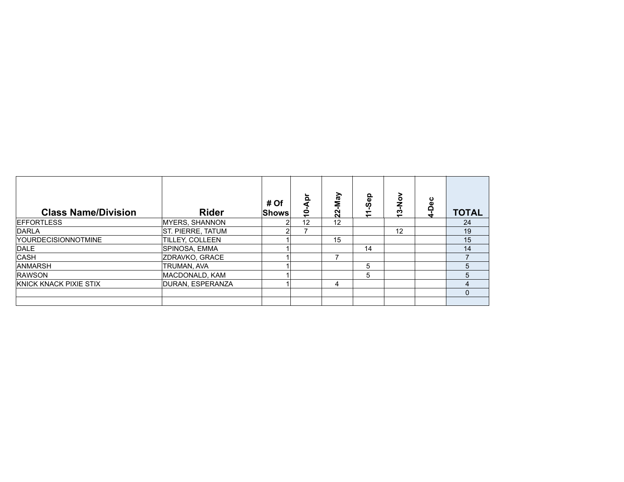| <b>Class Name/Division</b> | <b>Rider</b>             | # Of<br><b>Shows</b> | $\overline{\mathbf{o}}$<br>$\ddot{\bullet}$ | <b>VeW-</b><br>$\overline{2}$ | န္<br>ഗ | ە<br>2<br>က်<br>$\overline{\phantom{0}}$ | ပ<br>ω<br>≏ | <b>TOTAL</b> |
|----------------------------|--------------------------|----------------------|---------------------------------------------|-------------------------------|---------|------------------------------------------|-------------|--------------|
| <b>IEFFORTLESS</b>         | <b>MYERS, SHANNON</b>    |                      | 12                                          | 12                            |         |                                          |             | 24           |
| DARLA                      | <b>ST. PIERRE, TATUM</b> |                      |                                             |                               |         | 12                                       |             | 19           |
| <b>YOURDECISIONNOTMINE</b> | <b>TILLEY, COLLEEN</b>   |                      |                                             | 15                            |         |                                          |             | 15           |
| DALE                       | SPINOSA, EMMA            |                      |                                             |                               | 14      |                                          |             | 14           |
| <b>CASH</b>                | ZDRAVKO, GRACE           |                      |                                             | 7                             |         |                                          |             |              |
| <b>ANMARSH</b>             | TRUMAN, AVA              |                      |                                             |                               | 5       |                                          |             | 5            |
| <b>RAWSON</b>              | MACDONALD, KAM           |                      |                                             |                               | 5       |                                          |             | 5            |
| KNICK KNACK PIXIE STIX     | DURAN, ESPERANZA         |                      |                                             | 4                             |         |                                          |             |              |
|                            |                          |                      |                                             |                               |         |                                          |             | $\Omega$     |
|                            |                          |                      |                                             |                               |         |                                          |             |              |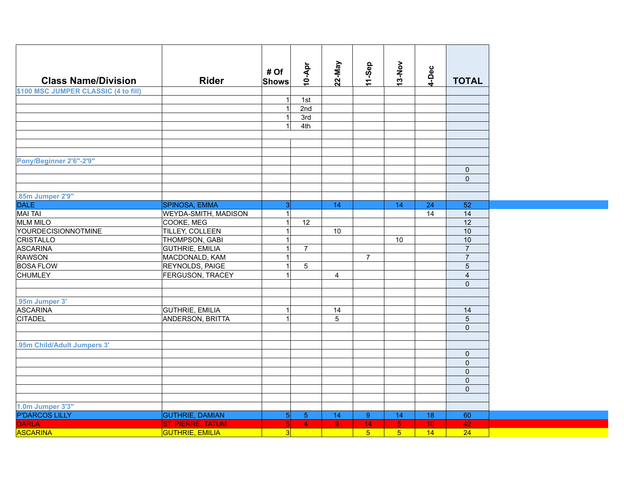| <b>Class Name/Division</b>           | <b>Rider</b>             | # Of<br><b>Shows</b> | $10 - Apr$     | 22-May                | 11-Sep         | 13-Nov         | 4-Dec           | <b>TOTAL</b>          |
|--------------------------------------|--------------------------|----------------------|----------------|-----------------------|----------------|----------------|-----------------|-----------------------|
| \$100 MSC JUMPER CLASSIC (4 to fill) |                          |                      |                |                       |                |                |                 |                       |
|                                      |                          | 1                    | 1st            |                       |                |                |                 |                       |
|                                      |                          | 1                    | 2nd            |                       |                |                |                 |                       |
|                                      |                          | 1                    | 3rd            |                       |                |                |                 |                       |
|                                      |                          | 1                    | 4th            |                       |                |                |                 |                       |
|                                      |                          |                      |                |                       |                |                |                 |                       |
|                                      |                          |                      |                |                       |                |                |                 |                       |
|                                      |                          |                      |                |                       |                |                |                 |                       |
| Pony/Beginner 2'6"-2'9"              |                          |                      |                |                       |                |                |                 | $\mathbf 0$           |
|                                      |                          |                      |                |                       |                |                |                 | $\overline{0}$        |
|                                      |                          |                      |                |                       |                |                |                 |                       |
| .85m Jumper 2'9"                     |                          |                      |                |                       |                |                |                 |                       |
| <b>DALE</b>                          | SPINOSA, EMMA            | 3                    |                | 14                    |                | 14             | 24              | 52                    |
| MAI TAI                              | WEYDA-SMITH, MADISON     | 1                    |                |                       |                |                | 14              | 14                    |
| <b>MLM MILO</b>                      | COOKE, MEG               | 1                    | 12             |                       |                |                |                 | $\overline{12}$       |
| <b>YOURDECISIONNOTMINE</b>           | TILLEY, COLLEEN          | 1                    |                | 10                    |                |                |                 | 10                    |
| <b>CRISTALLO</b>                     | <b>THOMPSON, GABI</b>    | $\vert$ 1            |                |                       |                | 10             |                 | 10                    |
| ASCARINA                             | <b>GUTHRIE, EMILIA</b>   | 1                    | $\overline{7}$ |                       |                |                |                 | $\overline{7}$        |
| <b>RAWSON</b>                        | MACDONALD, KAM           | $\vert$ 1            |                |                       | $\overline{7}$ |                |                 | $\overline{7}$        |
| <b>BOSA FLOW</b>                     | REYNOLDS, PAIGE          | 1                    | 5              |                       |                |                |                 | 5                     |
| <b>CHUMLEY</b>                       | FERGUSON, TRACEY         | $\mathbf{1}$         |                | $\overline{4}$        |                |                |                 | $\overline{4}$        |
|                                      |                          |                      |                |                       |                |                |                 | $\overline{0}$        |
|                                      |                          |                      |                |                       |                |                |                 |                       |
| .95m Jumper 3'<br><b>ASCARINA</b>    | <b>GUTHRIE, EMILIA</b>   | 1                    |                |                       |                |                |                 |                       |
| <b>CITADEL</b>                       | ANDERSON, BRITTA         | 1                    |                | 14<br>$5\phantom{.0}$ |                |                |                 | 14<br>$5\phantom{.0}$ |
|                                      |                          |                      |                |                       |                |                |                 | $\mathbf 0$           |
|                                      |                          |                      |                |                       |                |                |                 |                       |
| .95m Child/Adult Jumpers 3'          |                          |                      |                |                       |                |                |                 |                       |
|                                      |                          |                      |                |                       |                |                |                 | $\mathbf{0}$          |
|                                      |                          |                      |                |                       |                |                |                 | $\mathbf 0$           |
|                                      |                          |                      |                |                       |                |                |                 | $\overline{0}$        |
|                                      |                          |                      |                |                       |                |                |                 | $\pmb{0}$             |
|                                      |                          |                      |                |                       |                |                |                 | $\mathbf 0$           |
|                                      |                          |                      |                |                       |                |                |                 |                       |
| 1.0m Jumper 3'3"                     |                          |                      |                |                       |                |                |                 |                       |
| <b>P'DARCOS LILLY</b>                | <b>GUTHRIE, DAMIAN</b>   | 5 <sup>1</sup>       | 5 <sub>5</sub> | 14                    | 9 <sup>°</sup> | 14             | 18              | 60                    |
| <b>DARLA</b>                         | <b>ST. PIERRE, TATUM</b> | 5 <sup>1</sup>       | $\overline{4}$ | $\overline{9}$        | 14             | 5 <sub>1</sub> | 10 <sup>°</sup> | 42                    |
| <b>ASCARINA</b>                      | <b>GUTHRIE, EMILIA</b>   | 3                    |                |                       | 5 <sup>1</sup> | 5 <sup>5</sup> | 14              | 24                    |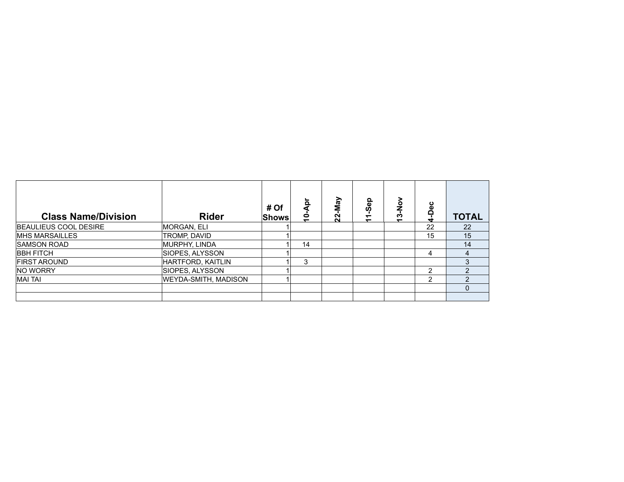| <b>Class Name/Division</b>   | <b>Rider</b>                | # Of<br><b>Shows</b> | ō<br>$\ddot{ }$ | VeN<br>$\mathbf{S}$ | ௨<br>$\omega$ | ە<br>Z<br>5 | ပ<br>ω<br>Q | <b>TOTAL</b> |
|------------------------------|-----------------------------|----------------------|-----------------|---------------------|---------------|-------------|-------------|--------------|
| <b>BEAULIEUS COOL DESIRE</b> | MORGAN, ELI                 |                      |                 |                     |               |             | 22          | 22           |
| <b>IMHS MARSAILLES</b>       | TROMP, DAVID                |                      |                 |                     |               |             | 15          | 15           |
| <b>ISAMSON ROAD</b>          | MURPHY, LINDA               |                      | 14              |                     |               |             |             | 14           |
| <b>BBH FITCH</b>             | SIOPES, ALYSSON             |                      |                 |                     |               |             | 4           |              |
| <b>FIRST AROUND</b>          | HARTFORD, KAITLIN           |                      | 3               |                     |               |             |             | 3            |
| <b>NO WORRY</b>              | SIOPES, ALYSSON             |                      |                 |                     |               |             | ົ           | ົ            |
| <b>MAI TAI</b>               | <b>WEYDA-SMITH, MADISON</b> |                      |                 |                     |               |             | 2           | າ            |
|                              |                             |                      |                 |                     |               |             |             | $\Omega$     |
|                              |                             |                      |                 |                     |               |             |             |              |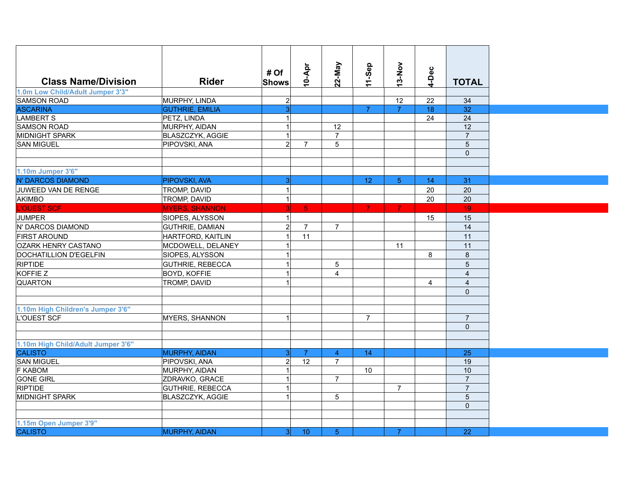| <b>Class Name/Division</b>         | <b>Rider</b>            | # Of<br><b>Shows</b> | 10-Apr         | 22-May         | 11-Sep          | 13-Nov         | 4-Dec                   | <b>TOTAL</b>    |
|------------------------------------|-------------------------|----------------------|----------------|----------------|-----------------|----------------|-------------------------|-----------------|
| 1.0m Low Child/Adult Jumper 3'3"   |                         |                      |                |                |                 |                |                         |                 |
| SAMSON ROAD                        | MURPHY, LINDA           | $\overline{2}$       |                |                |                 | 12             | 22                      | 34              |
| <b>ASCARINA</b>                    | <b>GUTHRIE, EMILIA</b>  | 3 <sup>1</sup>       |                |                | $\overline{7}$  | $\overline{7}$ | 18                      | 32              |
| LAMBERT S                          | PETZ, LINDA             | 1                    |                |                |                 |                | 24                      | 24              |
| SAMSON ROAD                        | MURPHY, AIDAN           | 1 <sup>1</sup>       |                | 12             |                 |                |                         | 12              |
| <b>MIDNIGHT SPARK</b>              | BLASZCZYK, AGGIE        | $\vert$ 1            |                | $\overline{7}$ |                 |                |                         | $\overline{7}$  |
| <b>SAN MIGUEL</b>                  | PIPOVSKI, ANA           | $\overline{2}$       | $\overline{7}$ | 5              |                 |                |                         | $5\phantom{.0}$ |
|                                    |                         |                      |                |                |                 |                |                         | $\mathbf{0}$    |
| 1.10m Jumper 3'6"                  |                         |                      |                |                |                 |                |                         |                 |
| N' DARCOS DIAMOND                  | <b>PIPOVSKI, AVA</b>    | 3                    |                |                | 12 <sup>2</sup> | 5 <sup>1</sup> | 14                      | 31              |
| JUWEED VAN DE RENGE                | <b>TROMP, DAVID</b>     | 1                    |                |                |                 |                | 20                      | 20              |
| <b>AKIMBO</b>                      | <b>TROMP, DAVID</b>     | 1                    |                |                |                 |                | 20                      | 20              |
| L'OUEST SCF                        | <b>MYERS, SHANNON</b>   | 3 <sup>1</sup>       | $\sqrt{5}$     |                | $\mathbf{7}$    | $\overline{7}$ |                         | 19              |
| JUMPER                             | SIOPES, ALYSSON         | 1                    |                |                |                 |                | 15                      | 15              |
| N' DARCOS DIAMOND                  | <b>GUTHRIE, DAMIAN</b>  | $2\overline{)}$      | $\overline{7}$ | $\overline{7}$ |                 |                |                         | 14              |
| <b>FIRST AROUND</b>                | HARTFORD, KAITLIN       | 1                    | 11             |                |                 |                |                         | 11              |
| OZARK HENRY CASTANO                | MCDOWELL, DELANEY       | $\mathbf{1}$         |                |                |                 | 11             |                         | 11              |
| DOCHATILLION D'EGELFIN             | SIOPES, ALYSSON         | 1                    |                |                |                 |                |                         | 8               |
| <b>RIPTIDE</b>                     | <b>GUTHRIE, REBECCA</b> | 1                    |                | 5              |                 |                | 8                       | 5               |
|                                    |                         | 1                    |                |                |                 |                |                         |                 |
| KOFFIE Z                           | <b>BOYD, KOFFIE</b>     |                      |                | $\overline{4}$ |                 |                |                         | $\overline{4}$  |
| <b>QUARTON</b>                     | TROMP, DAVID            | 1                    |                |                |                 |                | $\overline{\mathbf{4}}$ | $\overline{4}$  |
|                                    |                         |                      |                |                |                 |                |                         | $\Omega$        |
| 1.10m High Children's Jumper 3'6"  |                         |                      |                |                |                 |                |                         |                 |
| L'OUEST SCF                        | MYERS, SHANNON          | 1                    |                |                | $\overline{7}$  |                |                         | $\overline{7}$  |
|                                    |                         |                      |                |                |                 |                |                         | $\overline{0}$  |
|                                    |                         |                      |                |                |                 |                |                         |                 |
| 1.10m High Child/Adult Jumper 3'6" |                         |                      |                |                |                 |                |                         |                 |
| <b>CALISTO</b>                     | MURPHY, AIDAN           | 3                    | $\overline{7}$ | $\overline{4}$ | 14              |                |                         | 25              |
| <b>SAN MIGUEL</b>                  | <b>PIPOVSKI, ANA</b>    | $\overline{2}$       | 12             | $\overline{7}$ |                 |                |                         | 19              |
| <b>F KABOM</b>                     | MURPHY, AIDAN           | 1                    |                |                | 10              |                |                         | 10              |
| <b>GONE GIRL</b>                   | ZDRAVKO, GRACE          | 1                    |                | $\overline{7}$ |                 |                |                         | $\overline{7}$  |
| <b>RIPTIDE</b>                     | <b>GUTHRIE, REBECCA</b> | 1                    |                |                |                 | $\overline{7}$ |                         | $\overline{7}$  |
| MIDNIGHT SPARK                     | BLASZCZYK, AGGIE        | 1                    |                | 5              |                 |                |                         | $5\phantom{.0}$ |
|                                    |                         |                      |                |                |                 |                |                         | $\mathbf 0$     |
| 1.15m Open Jumper 3'9"             |                         |                      |                |                |                 |                |                         |                 |
| <b>CALISTO</b>                     | <b>MURPHY, AIDAN</b>    | 3 <sup>l</sup>       | 10             | 5              |                 | $\overline{7}$ |                         | 22              |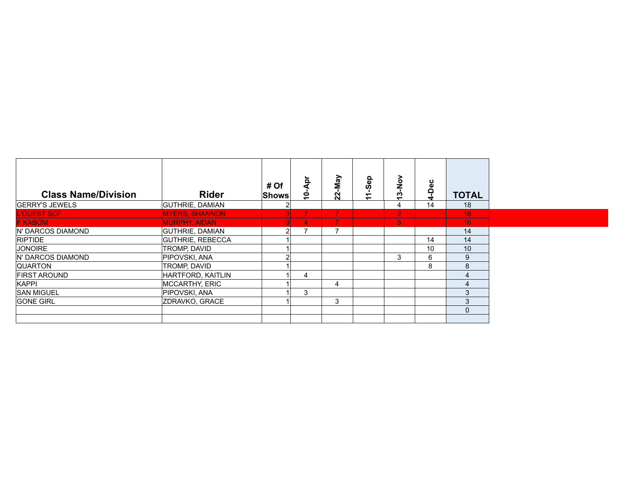| <b>Class Name/Division</b> | <b>Rider</b>             | # Of<br><b>Shows</b> | ۵p<br>$\ddot{ }$ | -May<br>$\mathbf{S}$ | ဓူ<br>Ŏ,<br>ᅮ<br>$\overline{\phantom{0}}$ | ?<br>?<br>က<br>$\overline{\phantom{0}}$ | ပ<br>ق | <b>TOTAL</b> |
|----------------------------|--------------------------|----------------------|------------------|----------------------|-------------------------------------------|-----------------------------------------|--------|--------------|
| <b>GERRY'S JEWELS</b>      | <b>GUTHRIE, DAMIAN</b>   |                      |                  |                      |                                           | 4                                       | 14     | 18           |
| <b>L'OUEST SCF</b>         | <b>MYERS, SHANNON</b>    | $\overline{3}$       |                  | 7                    |                                           | $\overline{2}$                          |        | 16           |
| <b>F KABOM</b>             | <b>MURPHY, AIDAN</b>     | 31                   | 4                | 7                    |                                           | 5                                       |        | 16           |
| IN' DARCOS DIAMOND         | <b>GUTHRIE, DAMIAN</b>   | $\mathbf{2}$         | 7                | 7                    |                                           |                                         |        | 14           |
| <b>RIPTIDE</b>             | <b>GUTHRIE, REBECCA</b>  |                      |                  |                      |                                           |                                         | 14     | 14           |
| <b>JONOIRE</b>             | TROMP, DAVID             |                      |                  |                      |                                           |                                         | 10     | 10           |
| IN' DARCOS DIAMOND         | PIPOVSKI, ANA            | 2                    |                  |                      |                                           | 3                                       | 6      | 9            |
| <b>QUARTON</b>             | TROMP, DAVID             |                      |                  |                      |                                           |                                         | 8      | 8            |
| <b>FIRST AROUND</b>        | <b>HARTFORD, KAITLIN</b> |                      | 4                |                      |                                           |                                         |        | 4            |
| KAPPI                      | MCCARTHY, ERIC           |                      |                  | 4                    |                                           |                                         |        |              |
| <b><i>ISAN MIGUEL</i></b>  | PIPOVSKI, ANA            |                      | 3                |                      |                                           |                                         |        | 3            |
| <b>GONE GIRL</b>           | ZDRAVKO, GRACE           |                      |                  | 3                    |                                           |                                         |        | 3            |
|                            |                          |                      |                  |                      |                                           |                                         |        | $\Omega$     |
|                            |                          |                      |                  |                      |                                           |                                         |        |              |